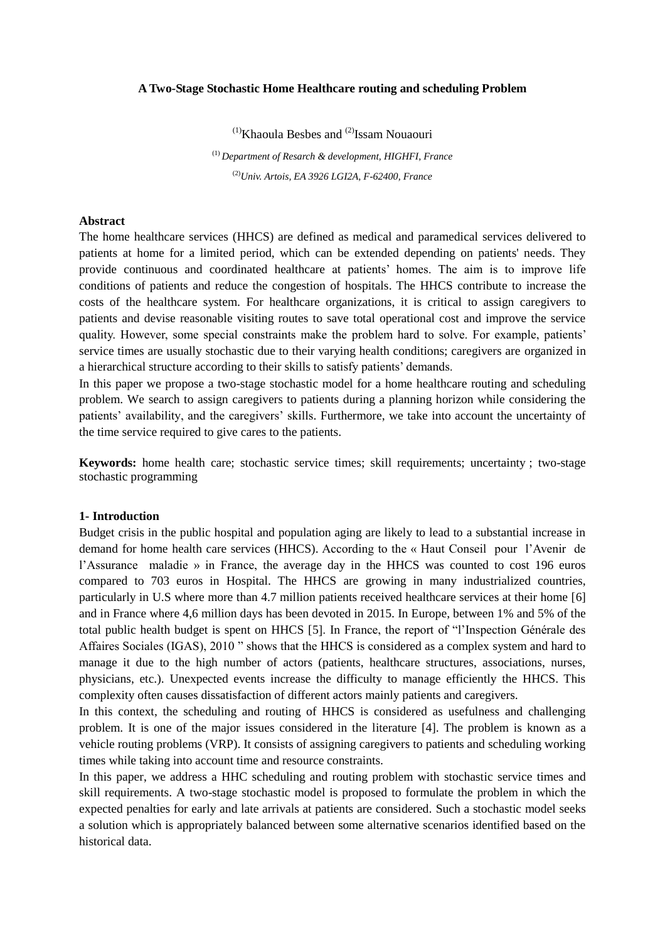#### **A Two-Stage Stochastic Home Healthcare routing and scheduling Problem**

 $<sup>(1)</sup>$ Khaoula Besbes and  $<sup>(2)</sup>$ Issam Nouaouri</sup></sup>

(1) *Department of Resarch & development, HIGHFI, France* (2)*Univ. Artois, EA 3926 LGI2A, F-62400, France*

#### **Abstract**

The home healthcare services (HHCS) are defined as medical and paramedical services delivered to patients at home for a limited period, which can be extended depending on patients' needs. They provide continuous and coordinated healthcare at patients' homes. The aim is to improve life conditions of patients and reduce the congestion of hospitals. The HHCS contribute to increase the costs of the healthcare system. For healthcare organizations, it is critical to assign caregivers to patients and devise reasonable visiting routes to save total operational cost and improve the service quality. However, some special constraints make the problem hard to solve. For example, patients' service times are usually stochastic due to their varying health conditions; caregivers are organized in a hierarchical structure according to their skills to satisfy patients' demands.

In this paper we propose a two-stage stochastic model for a home healthcare routing and scheduling problem. We search to assign caregivers to patients during a planning horizon while considering the patients' availability, and the caregivers' skills. Furthermore, we take into account the uncertainty of the time service required to give cares to the patients.

**Keywords:** home health care; stochastic service times; skill requirements; uncertainty ; two-stage stochastic programming

#### **1- Introduction**

Budget crisis in the public hospital and population aging are likely to lead to a substantial increase in demand for home health care services (HHCS). According to the « Haut Conseil pour l'Avenir de l'Assurance maladie » in France, the average day in the HHCS was counted to cost 196 euros compared to 703 euros in Hospital. The HHCS are growing in many industrialized countries, particularly in U.S where more than 4.7 million patients received healthcare services at their home [6] and in France where 4,6 million days has been devoted in 2015. In Europe, between 1% and 5% of the total public health budget is spent on HHCS [5]. In France, the report of "l'Inspection Générale des Affaires Sociales (IGAS), 2010 " shows that the HHCS is considered as a complex system and hard to manage it due to the high number of actors (patients, healthcare structures, associations, nurses, physicians, etc.). Unexpected events increase the difficulty to manage efficiently the HHCS. This complexity often causes dissatisfaction of different actors mainly patients and caregivers.

In this context, the scheduling and routing of HHCS is considered as usefulness and challenging problem. It is one of the major issues considered in the literature [4]. The problem is known as a vehicle routing problems (VRP). It consists of assigning caregivers to patients and scheduling working times while taking into account time and resource constraints.

In this paper, we address a HHC scheduling and routing problem with stochastic service times and skill requirements. A two-stage stochastic model is proposed to formulate the problem in which the expected penalties for early and late arrivals at patients are considered. Such a stochastic model seeks a solution which is appropriately balanced between some alternative scenarios identified based on the historical data.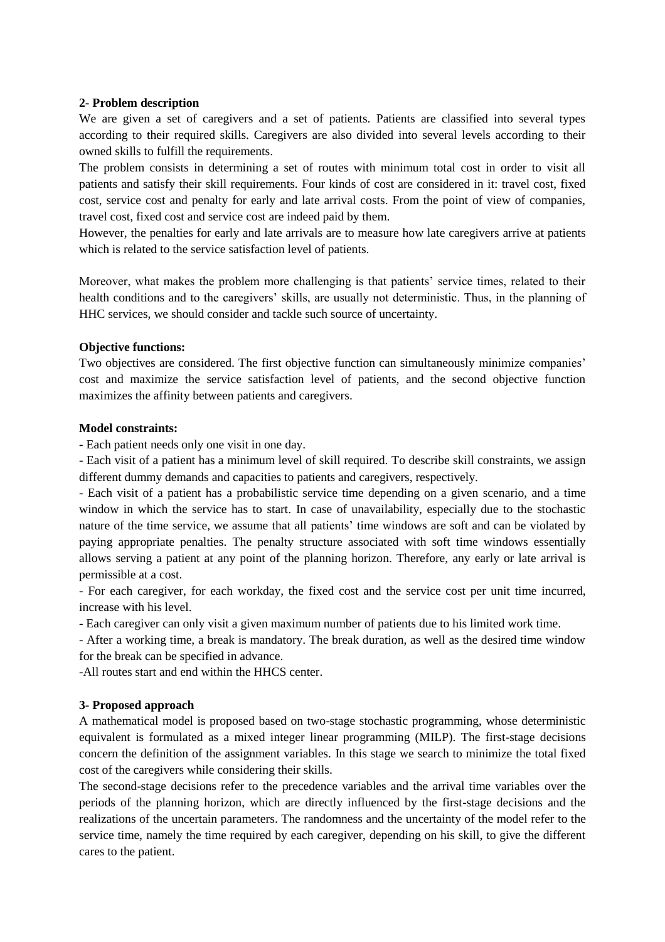### **2- Problem description**

We are given a set of caregivers and a set of patients. Patients are classified into several types according to their required skills. Caregivers are also divided into several levels according to their owned skills to fulfill the requirements.

The problem consists in determining a set of routes with minimum total cost in order to visit all patients and satisfy their skill requirements. Four kinds of cost are considered in it: travel cost, fixed cost, service cost and penalty for early and late arrival costs. From the point of view of companies, travel cost, fixed cost and service cost are indeed paid by them.

However, the penalties for early and late arrivals are to measure how late caregivers arrive at patients which is related to the service satisfaction level of patients.

Moreover, what makes the problem more challenging is that patients' service times, related to their health conditions and to the caregivers' skills, are usually not deterministic. Thus, in the planning of HHC services, we should consider and tackle such source of uncertainty.

## **Objective functions:**

Two objectives are considered. The first objective function can simultaneously minimize companies' cost and maximize the service satisfaction level of patients, and the second objective function maximizes the affinity between patients and caregivers.

## **Model constraints:**

**-** Each patient needs only one visit in one day.

- Each visit of a patient has a minimum level of skill required. To describe skill constraints, we assign different dummy demands and capacities to patients and caregivers, respectively.

- Each visit of a patient has a probabilistic service time depending on a given scenario, and a time window in which the service has to start. In case of unavailability, especially due to the stochastic nature of the time service, we assume that all patients' time windows are soft and can be violated by paying appropriate penalties. The penalty structure associated with soft time windows essentially allows serving a patient at any point of the planning horizon. Therefore, any early or late arrival is permissible at a cost.

- For each caregiver, for each workday, the fixed cost and the service cost per unit time incurred, increase with his level.

- Each caregiver can only visit a given maximum number of patients due to his limited work time.

- After a working time, a break is mandatory. The break duration, as well as the desired time window for the break can be specified in advance.

-All routes start and end within the HHCS center.

# **3- Proposed approach**

A mathematical model is proposed based on two-stage stochastic programming, whose deterministic equivalent is formulated as a mixed integer linear programming (MILP). The first-stage decisions concern the definition of the assignment variables. In this stage we search to minimize the total fixed cost of the caregivers while considering their skills.

The second-stage decisions refer to the precedence variables and the arrival time variables over the periods of the planning horizon, which are directly influenced by the first-stage decisions and the realizations of the uncertain parameters. The randomness and the uncertainty of the model refer to the service time, namely the time required by each caregiver, depending on his skill, to give the different cares to the patient.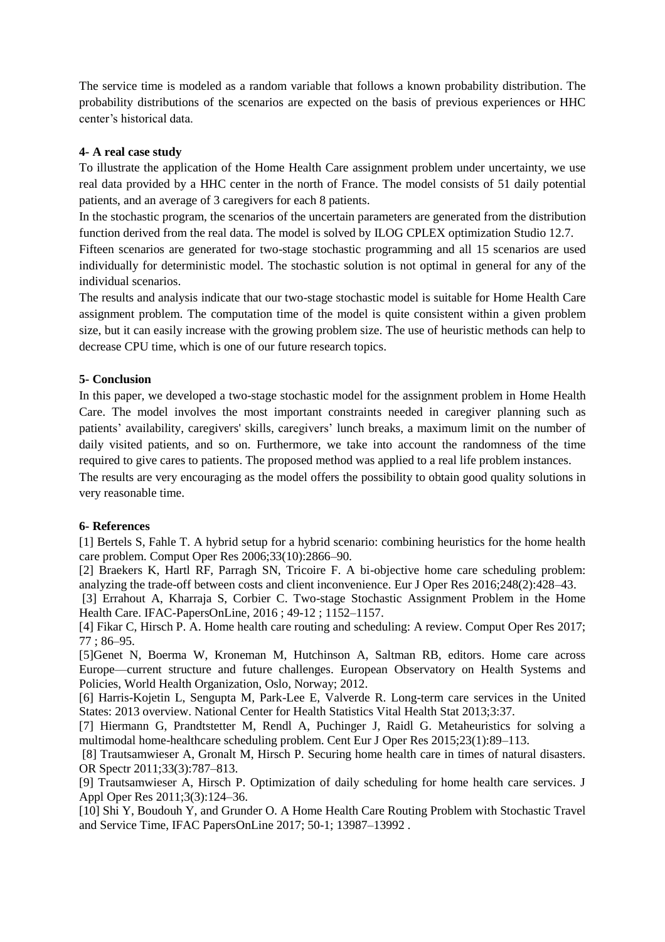The service time is modeled as a random variable that follows a known probability distribution. The probability distributions of the scenarios are expected on the basis of previous experiences or HHC center's historical data.

### **4- A real case study**

To illustrate the application of the Home Health Care assignment problem under uncertainty, we use real data provided by a HHC center in the north of France. The model consists of 51 daily potential patients, and an average of 3 caregivers for each 8 patients.

In the stochastic program, the scenarios of the uncertain parameters are generated from the distribution function derived from the real data. The model is solved by ILOG CPLEX optimization Studio 12.7.

Fifteen scenarios are generated for two-stage stochastic programming and all 15 scenarios are used individually for deterministic model. The stochastic solution is not optimal in general for any of the individual scenarios.

The results and analysis indicate that our two-stage stochastic model is suitable for Home Health Care assignment problem. The computation time of the model is quite consistent within a given problem size, but it can easily increase with the growing problem size. The use of heuristic methods can help to decrease CPU time, which is one of our future research topics.

## **5- Conclusion**

In this paper, we developed a two-stage stochastic model for the assignment problem in Home Health Care. The model involves the most important constraints needed in caregiver planning such as patients' availability, caregivers' skills, caregivers' lunch breaks, a maximum limit on the number of daily visited patients, and so on. Furthermore, we take into account the randomness of the time required to give cares to patients. The proposed method was applied to a real life problem instances.

The results are very encouraging as the model offers the possibility to obtain good quality solutions in very reasonable time.

### **6- References**

[1] Bertels S, Fahle T. A hybrid setup for a hybrid scenario: combining heuristics for the home health care problem. Comput Oper Res 2006;33(10):2866–90.

[2] Braekers K, Hartl RF, Parragh SN, Tricoire F. A bi-objective home care scheduling problem: analyzing the trade-off between costs and client inconvenience. Eur J Oper Res 2016;248(2):428–43.

[3] Errahout A, Kharraja S, Corbier C. Two-stage Stochastic Assignment Problem in the Home Health Care. IFAC-PapersOnLine, 2016 ; 49-12 ; 1152–1157.

[4] Fikar C, Hirsch P. A. Home health care routing and scheduling: A review. Comput Oper Res 2017; 77 ; 86–95.

[5]Genet N, Boerma W, Kroneman M, Hutchinson A, Saltman RB, editors. Home care across Europe—current structure and future challenges. European Observatory on Health Systems and Policies, World Health Organization, Oslo, Norway; 2012.

[6] Harris-Kojetin L, Sengupta M, Park-Lee E, Valverde R. Long-term care services in the United States: 2013 overview. National Center for Health Statistics Vital Health Stat 2013;3:37.

[7] Hiermann G, Prandtstetter M, Rendl A, Puchinger J, Raidl G. Metaheuristics for solving a multimodal home-healthcare scheduling problem. Cent Eur J Oper Res 2015;23(1):89–113.

[8] Trautsamwieser A, Gronalt M, Hirsch P. Securing home health care in times of natural disasters. OR Spectr 2011;33(3):787–813.

[9] Trautsamwieser A, Hirsch P. Optimization of daily scheduling for home health care services. J Appl Oper Res 2011;3(3):124–36.

[10] Shi Y, Boudouh Y, and Grunder O. A Home Health Care Routing Problem with Stochastic Travel and Service Time, IFAC PapersOnLine 2017; 50-1; 13987–13992 .